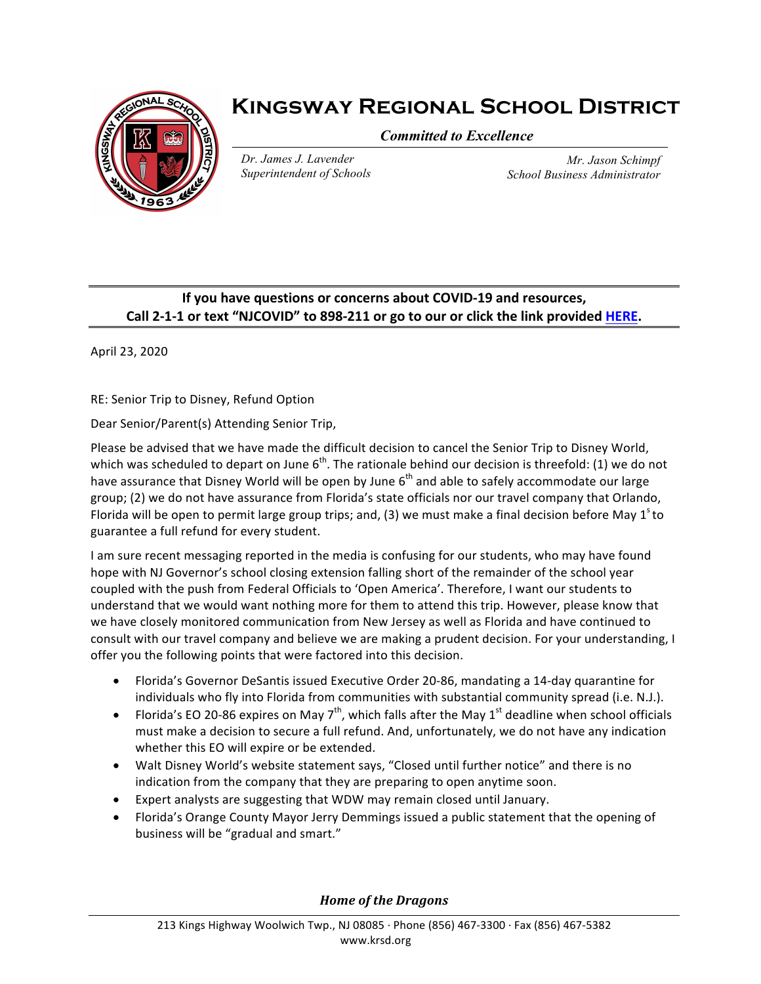

## **Kingsway Regional School District**

*Committed to Excellence*

*Dr. James J. Lavender Superintendent of Schools*

*Mr. Jason Schimpf School Business Administrator*

## **If you have questions or concerns about COVID-19 and resources, Call** 2-1-1 or text "NJCOVID" to 898-211 or go to our or click the link provided HERE.

April 23, 2020

RE: Senior Trip to Disney, Refund Option

Dear Senior/Parent(s) Attending Senior Trip,

Please be advised that we have made the difficult decision to cancel the Senior Trip to Disney World, which was scheduled to depart on June  $6<sup>th</sup>$ . The rationale behind our decision is threefold: (1) we do not have assurance that Disney World will be open by June  $6<sup>th</sup>$  and able to safely accommodate our large group; (2) we do not have assurance from Florida's state officials nor our travel company that Orlando, Florida will be open to permit large group trips; and, (3) we must make a final decision before May  $1^{\circ}$  to guarantee a full refund for every student.

I am sure recent messaging reported in the media is confusing for our students, who may have found hope with NJ Governor's school closing extension falling short of the remainder of the school year coupled with the push from Federal Officials to 'Open America'. Therefore, I want our students to understand that we would want nothing more for them to attend this trip. However, please know that we have closely monitored communication from New Jersey as well as Florida and have continued to consult with our travel company and believe we are making a prudent decision. For your understanding, I offer you the following points that were factored into this decision.

- Florida's Governor DeSantis issued Executive Order 20-86, mandating a 14-day quarantine for individuals who fly into Florida from communities with substantial community spread (i.e. N.J.).
- Florida's EO 20-86 expires on May  $7^{th}$ , which falls after the May 1<sup>st</sup> deadline when school officials must make a decision to secure a full refund. And, unfortunately, we do not have any indication whether this EO will expire or be extended.
- Walt Disney World's website statement says, "Closed until further notice" and there is no indication from the company that they are preparing to open anytime soon.
- Expert analysts are suggesting that WDW may remain closed until January.
- Florida's Orange County Mayor Jerry Demmings issued a public statement that the opening of business will be "gradual and smart."

**Home** of the Dragons